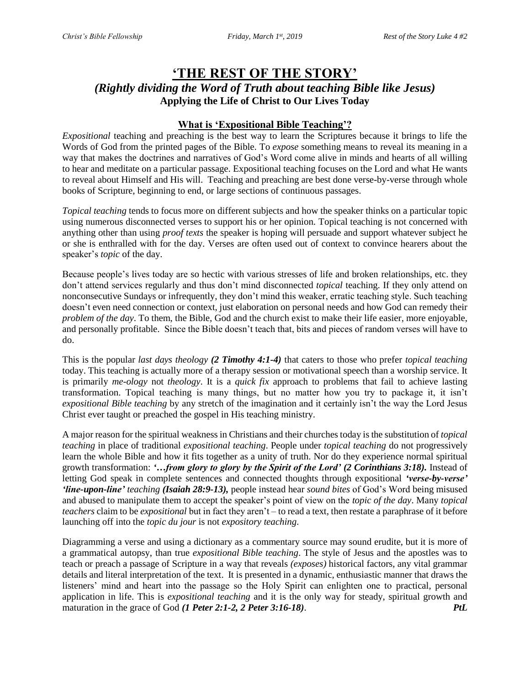# **'THE REST OF THE STORY'** *(Rightly dividing the Word of Truth about teaching Bible like Jesus)* **Applying the Life of Christ to Our Lives Today**

## **What is 'Expositional Bible Teaching'?**

*Expositional* teaching and preaching is the best way to learn the Scriptures because it brings to life the Words of God from the printed pages of the Bible. To *expose* something means to reveal its meaning in a way that makes the doctrines and narratives of God's Word come alive in minds and hearts of all willing to hear and meditate on a particular passage. Expositional teaching focuses on the Lord and what He wants to reveal about Himself and His will. Teaching and preaching are best done verse-by-verse through whole books of Scripture, beginning to end, or large sections of continuous passages.

*Topical teaching* tends to focus more on different subjects and how the speaker thinks on a particular topic using numerous disconnected verses to support his or her opinion. Topical teaching is not concerned with anything other than using *proof texts* the speaker is hoping will persuade and support whatever subject he or she is enthralled with for the day. Verses are often used out of context to convince hearers about the speaker's *topic* of the day.

Because people's lives today are so hectic with various stresses of life and broken relationships, etc. they don't attend services regularly and thus don't mind disconnected *topical* teaching. If they only attend on nonconsecutive Sundays or infrequently, they don't mind this weaker, erratic teaching style. Such teaching doesn't even need connection or context, just elaboration on personal needs and how God can remedy their *problem of the day*. To them, the Bible, God and the church exist to make their life easier, more enjoyable, and personally profitable. Since the Bible doesn't teach that, bits and pieces of random verses will have to do.

This is the popular *last days theology (2 Timothy 4:1-4)* that caters to those who prefer *topical teaching* today. This teaching is actually more of a therapy session or motivational speech than a worship service. It is primarily *me-ology* not *theology*. It is a *quick fix* approach to problems that fail to achieve lasting transformation. Topical teaching is many things, but no matter how you try to package it, it isn't *expositional Bible teaching* by any stretch of the imagination and it certainly isn't the way the Lord Jesus Christ ever taught or preached the gospel in His teaching ministry.

A major reason for the spiritual weakness in Christians and their churches today is the substitution of *topical teaching* in place of traditional *expositional teaching*. People under *topical teaching* do not progressively learn the whole Bible and how it fits together as a unity of truth. Nor do they experience normal spiritual growth transformation: *'…from glory to glory by the Spirit of the Lord' (2 Corinthians 3:18).* Instead of letting God speak in complete sentences and connected thoughts through expositional *'verse-by-verse' 'line-upon-line' teaching (Isaiah 28:9-13),* people instead hear *sound bites* of God's Word being misused and abused to manipulate them to accept the speaker's point of view on the *topic of the day*. Many *topical teachers* claim to be *expositional* but in fact they aren't – to read a text, then restate a paraphrase of it before launching off into the *topic du jour* is not *expository teaching*.

Diagramming a verse and using a dictionary as a commentary source may sound erudite, but it is more of a grammatical autopsy, than true *expositional Bible teaching*. The style of Jesus and the apostles was to teach or preach a passage of Scripture in a way that reveals *(exposes)* historical factors, any vital grammar details and literal interpretation of the text. It is presented in a dynamic, enthusiastic manner that draws the listeners' mind and heart into the passage so the Holy Spirit can enlighten one to practical, personal application in life. This is *expositional teaching* and it is the only way for steady, spiritual growth and maturation in the grace of God *(1 Peter 2:1-2, 2 Peter 3:16-18)*. *PtL*